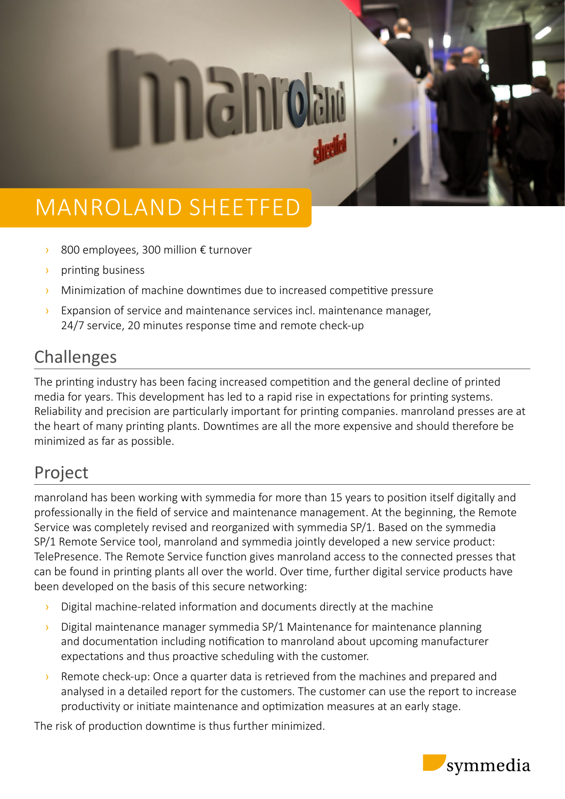# MANROLAND SHEETFED

- › 800 employees, 300 million € turnover
- › printing business
- › Minimization of machine downtimes due to increased competitive pressure
- › Expansion of service and maintenance services incl. maintenance manager, 24/7 service, 20 minutes response time and remote check-up

#### Challenges

The printing industry has been facing increased competition and the general decline of printed media for years. This development has led to a rapid rise in expectations for printing systems. Reliability and precision are particularly important for printing companies. manroland presses are at the heart of many printing plants. Downtimes are all the more expensive and should therefore be minimized as far as possible.

### Project

manroland has been working with symmedia for more than 15 years to position itself digitally and professionally in the field of service and maintenance management. At the beginning, the Remote Service was completely revised and reorganized with symmedia SP/1. Based on the symmedia SP/1 Remote Service tool, manroland and symmedia jointly developed a new service product: TelePresence. The Remote Service function gives manroland access to the connected presses that can be found in printing plants all over the world. Over time, further digital service products have been developed on the basis of this secure networking:

- › Digital machine-related information and documents directly at the machine
- $\rightarrow$  Digital maintenance manager symmedia SP/1 Maintenance for maintenance planning and documentation including notification to manroland about upcoming manufacturer expectations and thus proactive scheduling with the customer.
- $\rightarrow$  Remote check-up: Once a quarter data is retrieved from the machines and prepared and analysed in a detailed report for the customers. The customer can use the report to increase productivity or initiate maintenance and optimization measures at an early stage.

The risk of production downtime is thus further minimized.